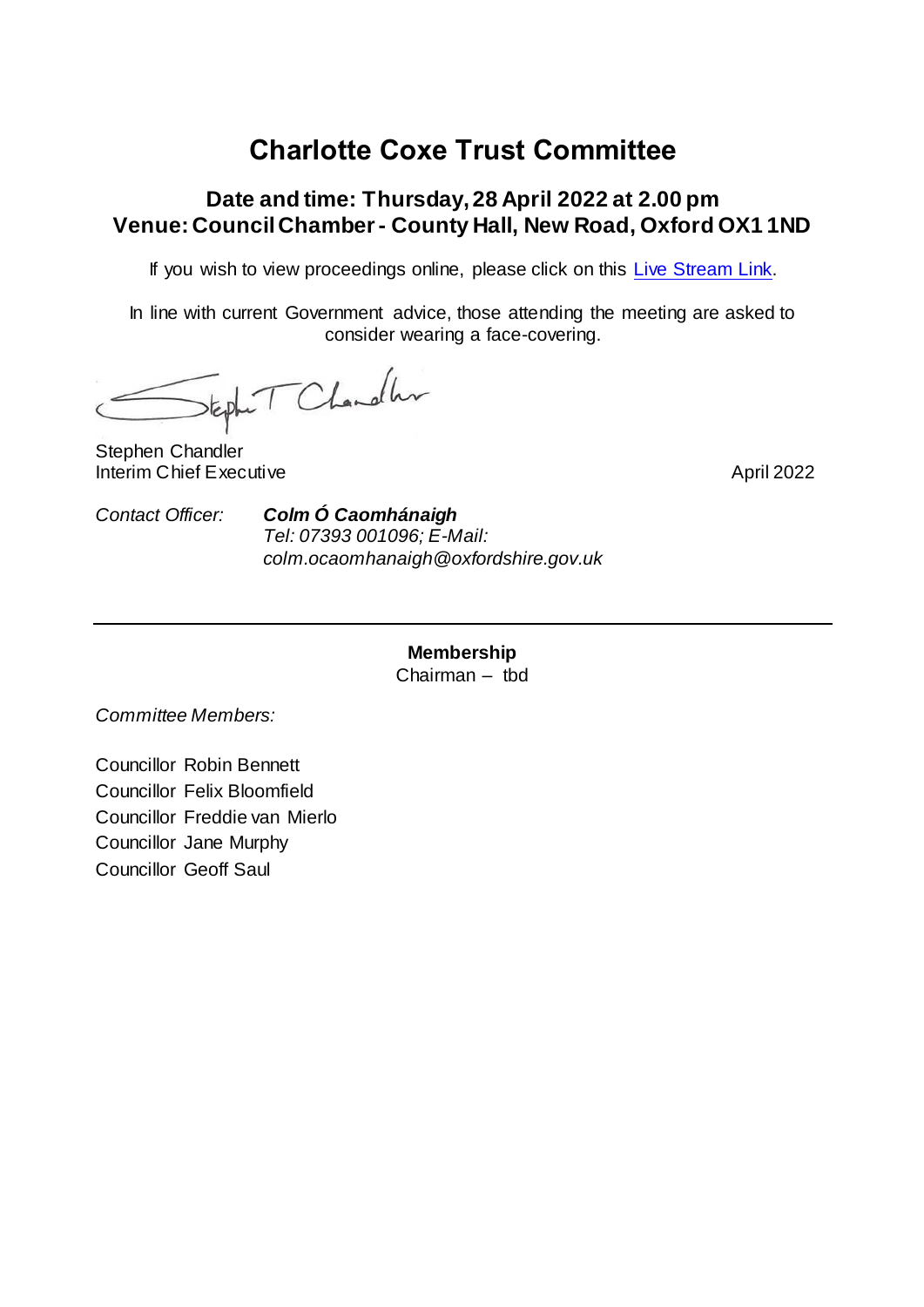## **Charlotte Coxe Trust Committee**

## **Date and time: Thursday, 28 April 2022 at 2.00 pm Venue: Council Chamber - County Hall, New Road, Oxford OX1 1ND**

If you wish to view proceedings online, please click on this [Live Stream Link.](https://oxon.cc/CCT28042022)

In line with current Government advice, those attending the meeting are asked to consider wearing a face-covering.

teph T Chandler

Stephen Chandler Interim Chief Executive April 2022

*Contact Officer: Colm Ó Caomhánaigh Tel: 07393 001096; E-Mail: colm.ocaomhanaigh@oxfordshire.gov.uk*

> **Membership** Chairman – tbd

*Committee Members:*

Councillor Robin Bennett Councillor Felix Bloomfield Councillor Freddie van Mierlo Councillor Jane Murphy Councillor Geoff Saul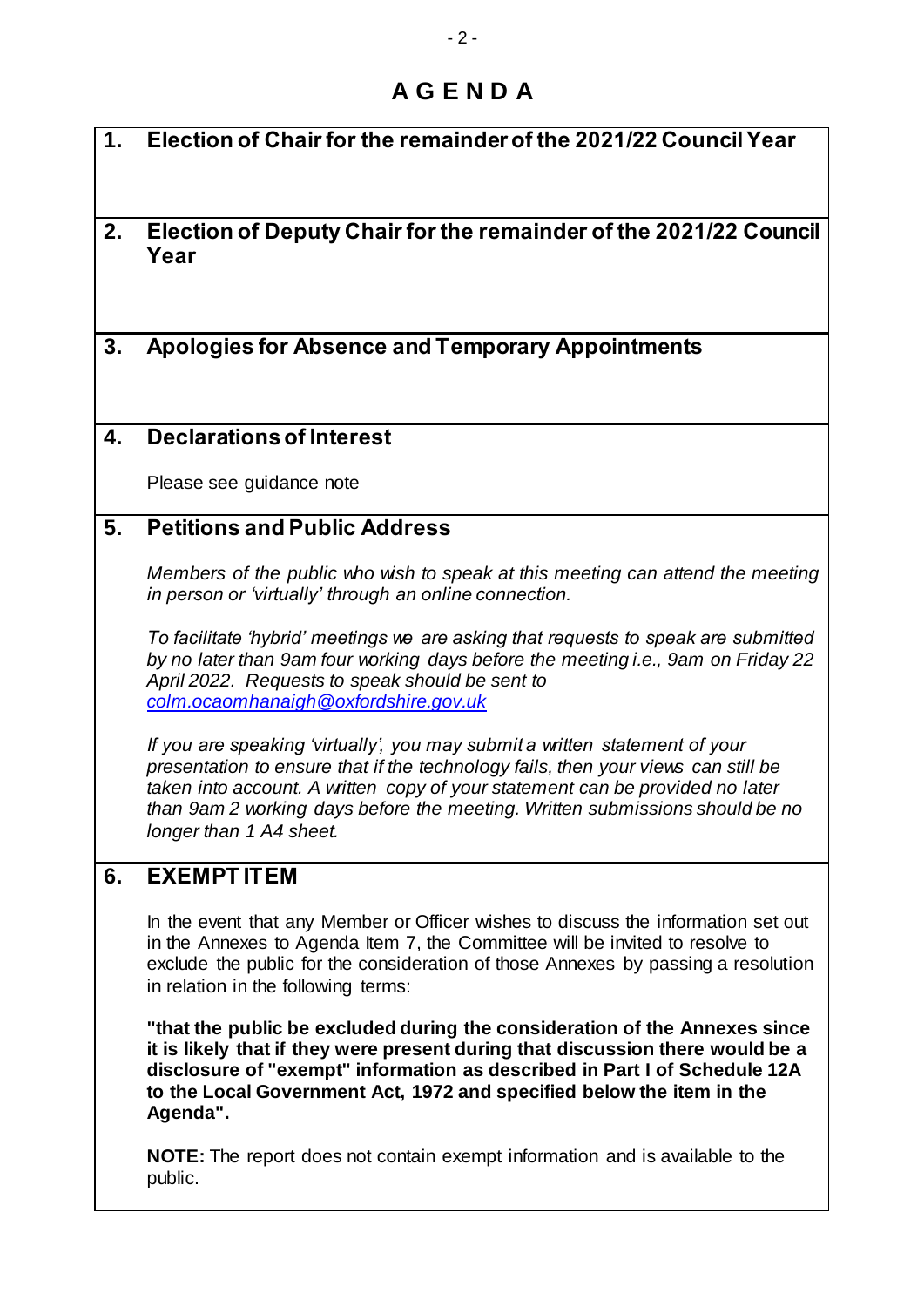## **A G E N D A**

| $\mathbf 1$ . | Election of Chair for the remainder of the 2021/22 Council Year                                                                                                                                                                                                                                                                                              |
|---------------|--------------------------------------------------------------------------------------------------------------------------------------------------------------------------------------------------------------------------------------------------------------------------------------------------------------------------------------------------------------|
| 2.            | Election of Deputy Chair for the remainder of the 2021/22 Council<br>Year                                                                                                                                                                                                                                                                                    |
| 3.            | <b>Apologies for Absence and Temporary Appointments</b>                                                                                                                                                                                                                                                                                                      |
| 4.            | <b>Declarations of Interest</b>                                                                                                                                                                                                                                                                                                                              |
|               | Please see guidance note                                                                                                                                                                                                                                                                                                                                     |
| 5.            | <b>Petitions and Public Address</b>                                                                                                                                                                                                                                                                                                                          |
|               | Members of the public who wish to speak at this meeting can attend the meeting<br>in person or 'virtually' through an online connection.                                                                                                                                                                                                                     |
|               | To facilitate 'hybrid' meetings we are asking that requests to speak are submitted<br>by no later than 9am four working days before the meeting i.e., 9am on Friday 22<br>April 2022. Requests to speak should be sent to<br>colm.ocaomhanaigh@oxfordshire.gov.uk                                                                                            |
|               | If you are speaking 'virtually', you may submit a written statement of your<br>presentation to ensure that if the technology fails, then your views can still be<br>taken into account. A written copy of your statement can be provided no later<br>than 9am 2 working days before the meeting. Written submissions should be no<br>longer than 1 A4 sheet. |
| 6.            | <b>EXEMPTITEM</b>                                                                                                                                                                                                                                                                                                                                            |
|               | In the event that any Member or Officer wishes to discuss the information set out<br>in the Annexes to Agenda Item 7, the Committee will be invited to resolve to<br>exclude the public for the consideration of those Annexes by passing a resolution<br>in relation in the following terms:                                                                |
|               | "that the public be excluded during the consideration of the Annexes since<br>it is likely that if they were present during that discussion there would be a<br>disclosure of "exempt" information as described in Part I of Schedule 12A<br>to the Local Government Act, 1972 and specified below the item in the<br>Agenda".                               |
|               | <b>NOTE:</b> The report does not contain exempt information and is available to the<br>public.                                                                                                                                                                                                                                                               |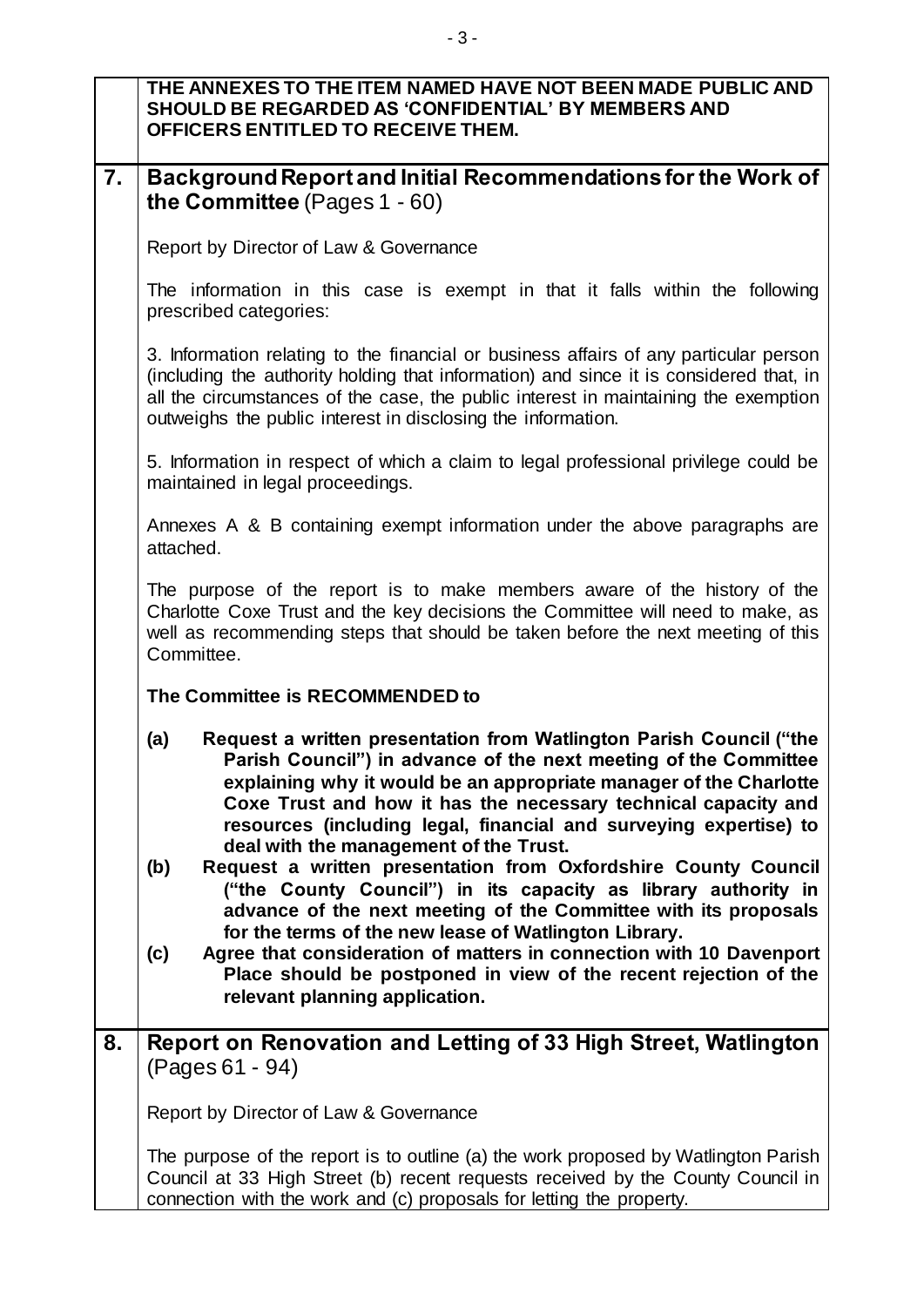|                | THE ANNEXES TO THE ITEM NAMED HAVE NOT BEEN MADE PUBLIC AND<br><b>SHOULD BE REGARDED AS 'CONFIDENTIAL' BY MEMBERS AND</b><br>OFFICERS ENTITLED TO RECEIVE THEM.                                                                                                                                                                                                                                                                                                                                                                                                                                                                                                                                                                                            |
|----------------|------------------------------------------------------------------------------------------------------------------------------------------------------------------------------------------------------------------------------------------------------------------------------------------------------------------------------------------------------------------------------------------------------------------------------------------------------------------------------------------------------------------------------------------------------------------------------------------------------------------------------------------------------------------------------------------------------------------------------------------------------------|
| $\mathbf{7}$ . | Background Report and Initial Recommendations for the Work of<br>the Committee (Pages 1 - 60)                                                                                                                                                                                                                                                                                                                                                                                                                                                                                                                                                                                                                                                              |
|                | Report by Director of Law & Governance                                                                                                                                                                                                                                                                                                                                                                                                                                                                                                                                                                                                                                                                                                                     |
|                | The information in this case is exempt in that it falls within the following<br>prescribed categories:                                                                                                                                                                                                                                                                                                                                                                                                                                                                                                                                                                                                                                                     |
|                | 3. Information relating to the financial or business affairs of any particular person<br>(including the authority holding that information) and since it is considered that, in<br>all the circumstances of the case, the public interest in maintaining the exemption<br>outweighs the public interest in disclosing the information.                                                                                                                                                                                                                                                                                                                                                                                                                     |
|                | 5. Information in respect of which a claim to legal professional privilege could be<br>maintained in legal proceedings.                                                                                                                                                                                                                                                                                                                                                                                                                                                                                                                                                                                                                                    |
|                | Annexes A & B containing exempt information under the above paragraphs are<br>attached.                                                                                                                                                                                                                                                                                                                                                                                                                                                                                                                                                                                                                                                                    |
|                | The purpose of the report is to make members aware of the history of the<br>Charlotte Coxe Trust and the key decisions the Committee will need to make, as<br>well as recommending steps that should be taken before the next meeting of this<br>Committee.                                                                                                                                                                                                                                                                                                                                                                                                                                                                                                |
|                | The Committee is RECOMMENDED to                                                                                                                                                                                                                                                                                                                                                                                                                                                                                                                                                                                                                                                                                                                            |
|                | Request a written presentation from Watlington Parish Council ("the<br>(a)<br>Parish Council") in advance of the next meeting of the Committee<br>explaining why it would be an appropriate manager of the Charlotte<br>Coxe Trust and how it has the necessary technical capacity and<br>resources (including legal, financial and surveying expertise) to<br>deal with the management of the Trust.<br>(b)<br>Request a written presentation from Oxfordshire County Council<br>("the County Council") in its capacity as library authority in<br>advance of the next meeting of the Committee with its proposals<br>for the terms of the new lease of Watlington Library.<br>Agree that consideration of matters in connection with 10 Davenport<br>(c) |
|                | Place should be postponed in view of the recent rejection of the<br>relevant planning application.                                                                                                                                                                                                                                                                                                                                                                                                                                                                                                                                                                                                                                                         |
| 8.             | Report on Renovation and Letting of 33 High Street, Watlington<br>(Pages 61 - 94)                                                                                                                                                                                                                                                                                                                                                                                                                                                                                                                                                                                                                                                                          |
|                | Report by Director of Law & Governance                                                                                                                                                                                                                                                                                                                                                                                                                                                                                                                                                                                                                                                                                                                     |
|                | The purpose of the report is to outline (a) the work proposed by Watlington Parish<br>Council at 33 High Street (b) recent requests received by the County Council in<br>connection with the work and (c) proposals for letting the property.                                                                                                                                                                                                                                                                                                                                                                                                                                                                                                              |